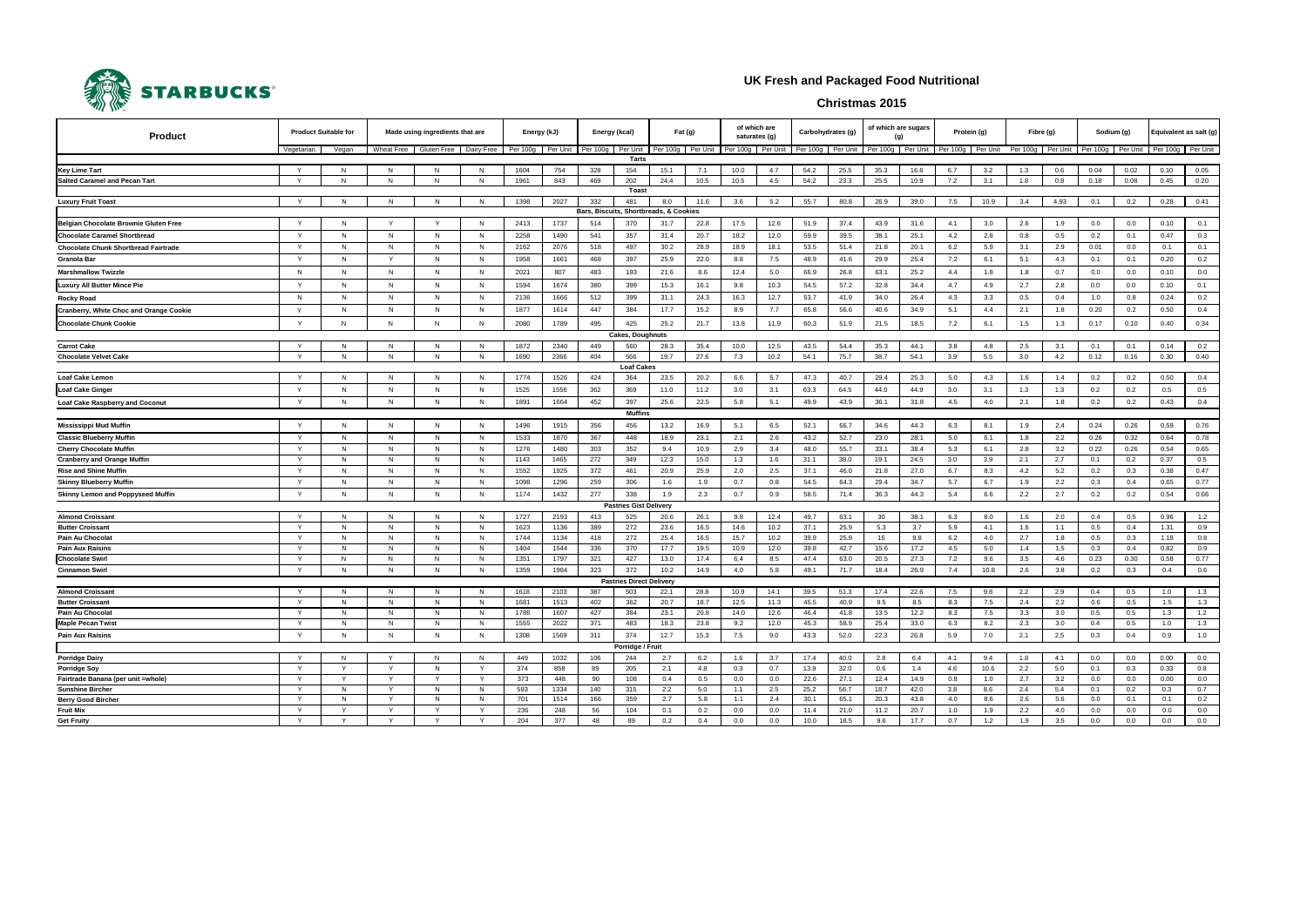| <b>Product Suitable for</b><br>Product                             |              |        | Made using ingredients that are         |        |              | Energy (kJ)          |              | Energy (kcal)         |                                 | $ext{Fat} (g)$         |              | of which are<br>saturates (g) |              | Carbohydrates (g)   |              | of which are sugars<br>(g) |              | Protein (g)         |            | Fibre (g)            |            | Sodium (g)           |            | Equivalent as salt (g) |             |
|--------------------------------------------------------------------|--------------|--------|-----------------------------------------|--------|--------------|----------------------|--------------|-----------------------|---------------------------------|------------------------|--------------|-------------------------------|--------------|---------------------|--------------|----------------------------|--------------|---------------------|------------|----------------------|------------|----------------------|------------|------------------------|-------------|
|                                                                    | Vegetarian   | Vegan  | Wheat Free<br>Gluten Free<br>Dairy Free |        |              | Per 100g<br>Per Unit |              | Per 100g Per Unit     |                                 | Per 100g<br>Per Unit   |              | Per 100g<br>Per Unit          |              | Per 100g   Per Unit |              | Per 100g<br>Per Unit       |              | Per 100g   Per Unit |            | Per 100g<br>Per Unit |            | Per 100g<br>Per Unit |            | Per 100g Per Unit      |             |
|                                                                    |              |        |                                         |        |              |                      |              |                       | Tarts                           |                        |              |                               |              |                     |              |                            |              |                     |            |                      |            |                      |            |                        |             |
| <b>Key Lime Tart</b>                                               |              | N      | N                                       | N      | -N           | 1604                 | 754          | 328                   | 154                             | 15.1                   | 7.1          | 10.0                          | 4.7          | 54.2                | 25.5         | 35.3                       | 16.6         | 6.7                 | 3.2        | 1.3                  | 0.6        | 0.04                 | 0.02       | 0.10                   | 0.05        |
| <b>Salted Caramel and Pecan Tart</b>                               | $\mathsf{v}$ | N      | N                                       | N      | N            | 1961                 | 843          | 469                   | 202<br><b>Toast</b>             | 24.4                   | 10.5         | 10.5                          | 4.5          | 54.2                | 23.3         | 25.5                       | 10.9         | 7.2                 | 3.1        | 1.8                  | 0.8        | 0.18                 | 0.08       | 0.45                   | 0.20        |
| <b>Luxury Fruit Toast</b>                                          |              | N      | N                                       | N      | N            | 1398                 | 2027         | 332                   | 481                             | 8.0                    | 11.6         | 3.6                           | 5.2          | 55.7                | 80.8         | 26.9                       | 39.0         | 7.5                 | 10.9       | 3.4                  | 4.93       | 0.1                  | 0.2        | 0.28                   | 0.41        |
|                                                                    |              |        |                                         |        |              |                      |              | <b>Bars, Biscuits</b> |                                 | Shortbreads, & Cookies |              |                               |              |                     |              |                            |              |                     |            |                      |            |                      |            |                        |             |
| Belgian Chocolate Brownie Gluten Free                              |              | N      | Y                                       | Y      | - N          | 2413                 | 1737         | 514                   | 370                             | 31.7                   | 22.8         | 17.5                          | 12.6         | 51.9                | 37.4         | 43.9                       | 31.6         | 4.1                 | 3.0        | 2.6                  | 1.9        | 0.0                  | 0.0        | 0.10                   | 0.1         |
| <b>Chocolate Caramel Shortbread</b>                                | $\mathsf{Y}$ | N      | N                                       | N      | N            | 2258                 | 1490         | 541                   | 357                             | 31.4                   | 20.7         | 18.2                          | 12.0         | 59.9                | 39.5         | 38.1                       | 25.1         | 4.2                 | 2.8        | 0.8                  | 0.5        | 0.2                  | 0.1        | 0.47                   | 0.3         |
| <b>Chocolate Chunk Shortbread Fairtrade</b>                        | Y            | N      | N                                       | N      | N            | 2162                 | 2076         | 518                   | 497                             | 30.2                   | 28.9         | 18.9                          | 18.1         | 53.5                | 51.4         | 21.8                       | 20.1         | 6.2                 | 5.9        | 3.1                  | 2.9        | 0.01                 | 0.0        | 0.1                    | 0.1         |
| Granola Bar                                                        | $\mathsf{Y}$ | N      | $\mathsf{Y}$                            | N      | <b>N</b>     | 1958                 | 1661         | 468                   | 397                             | 25.9                   | 22.0         | 8.8                           | 7.5          | 48.9                | 41.6         | 29.9                       | 25.4         | 7.2                 | 6.1        | 5.1                  | 4.3        | 0.1                  | 0.1        | 0.20                   | 0.2         |
| <b>Marshmallow Twizzle</b>                                         | N            | N      | N                                       | N      | N            | 2021                 | 807          | 483                   | 193                             | 21.6                   | 8.6          | 12.4                          | 5.0          | 66.9                | 26.8         | 63.1                       | 25.2         | 4.4                 | 1.8        | 1.8                  | 0.7        | 0.0                  | 0.0        | 0.10                   | 0.0         |
| <b>Luxury All Butter Mince Pie</b>                                 | Y            | N      | N                                       | N      | - N          | 1594                 | 1674         | 380                   | 399                             | 15.3                   | 16.1         | 9.8                           | 10.3         | 54.5                | 57.2         | 32.8                       | 34.4         | 4.7                 | 4.9        | 2.7                  | 2.8        | $0.0\,$              | 0.0        | 0.10                   | 0.1         |
| <b>Rocky Road</b>                                                  | $\mathsf{N}$ | N      | N                                       | N      | $\mathsf{N}$ | 2136                 | 1666         | 512                   | 399                             | 31.1                   | 24.3         | 16.3                          | 12.7         | 53.7                | 41.9         | 34.0                       | 26.4         | 4.3                 | 3.3        | 0.5                  | 0.4        | 1.0                  | 0.8        | 0.24                   | 0.2         |
| Cranberry, White Choc and Orange Cookie                            | $\mathsf{v}$ | N      | N                                       | N      | N            | 1877                 | 1614         | 447                   | 384                             | 17.7                   | 15.2         | 8.9                           | 7.7          | 65.8                | 56.6         | 40.6                       | 34.9         | 5.1                 | 4.4        | 2.1                  | 1.8        | 0.20                 | 0.2        | 0.50                   | 0.4         |
| <b>Chocolate Chunk Cookie</b>                                      | Y            | N      | N                                       | N      | $\mathsf{N}$ | 2080                 | 1789         | 495                   | 425                             | 25.2                   | 21.7         | 13.8                          | 11.9         | 60.3                | 51.9         | 21.5                       | 18.5         | 7.2                 | 6.1        | 1.5                  | 1.3        | 0.17                 | 0.10       | 0.40                   | 0.34        |
|                                                                    |              |        |                                         |        |              |                      |              |                       | <b>Cakes, Doughnuts</b>         |                        |              |                               |              |                     |              |                            |              |                     |            |                      |            |                      |            |                        |             |
| <b>Carrot Cake</b>                                                 | Y            | N.     | N                                       | N      | N            | 1872                 | 2340         | 449                   | 560                             | 28.3                   | 35.4         | 10.0                          | 12.5         | 43.5                | 54.4         | 35.3                       | 44.1         | 3.8                 | 4.8        | 2.5                  | 3.1        | 0.1                  | 0.1        | 0.14                   | 0.2         |
| <b>Chocolate Velvet Cake</b>                                       | Y            | N      | N                                       | N      | N            | 1690                 | 2366         | 404                   | 566                             | 19.7                   | 27.6         | 7.3                           | 10.2         | 54.1                | 75.7         | 38.7                       | 54.1         | 3.9                 | 5.5        | 3.0                  | 4.2        | 0.12                 | 0.16       | 0.30                   | 0.40        |
|                                                                    |              |        |                                         |        |              |                      |              |                       | <b>Loaf Cakes</b>               |                        |              |                               |              |                     |              |                            |              |                     |            |                      |            |                      |            |                        |             |
| Loaf Cake Lemon                                                    | Y            | N      | N                                       | N      | N            | 1774                 | 1526         | 424                   | 364                             | 23.5                   | 20.2         | 6.6                           | 5.7          | 47.3                | 40.7         | 29.4                       | 25.3         | 5.0                 | 4.3        | 1.6                  | 1.4        | 0.2                  | 0.2        | 0.50                   | 0.4         |
| Loaf Cake Ginger                                                   | $\mathsf{Y}$ | N      | N                                       | N      | <b>N</b>     | 1525                 | 1556         | 362                   | 369                             | 11.0                   | 11.2         | 3.0                           | 3.1          | 63.3                | 64.5         | 44.0                       | 44.9         | 3.0                 | 3.1        | 1.3                  | 1.3        | 0.2                  | 0.2        | 0.5                    | 0.5         |
| <b>Loaf Cake Raspberry and Coconu</b>                              | Y            | N      | N                                       | N      | N            | 1891                 | 1664         | 452                   | 397                             | 25.6                   | 22.5         | 5.8                           | 5.1          | 49.9                | 43.9         | 36.1                       | 31.8         | 4.5                 | 4.0        | 2.1                  | 1.8        | 0.2                  | 0.2        | 0.43                   | 0.4         |
|                                                                    |              |        |                                         |        |              |                      |              |                       | <b>Muffins</b>                  |                        |              |                               |              |                     |              |                            |              |                     |            |                      |            |                      |            |                        |             |
| <b>Mississippi Mud Muffin</b>                                      | $\mathsf{Y}$ | N      | N                                       | N      | N            | 1496                 | 1915         | 356                   | 456                             | 13.2                   | 16.9         | 5.1                           | 6.5          | 52.1                | 66.7         | 34.6                       | 44.3         | 6.3                 | 8.1        | 1.9                  | 2.4        | 0.24                 | 0.26       | 0.59                   | 0.76        |
| <b>Classic Blueberry Muffin</b>                                    | Y            | N      | N                                       | N      | N            | 1533                 | 1870         | 367                   | 448                             | 18.9                   | 23.1         | 2.1                           | 2.6          | 43.2                | 52.7         | 23.0                       | 28.1         | 5.0                 | 6.1        | 1.8                  | 2.2        | 0.26                 | 0.32       | 0.64                   | 0.78        |
| <b>Cherry Chocolate Muffil</b>                                     | Y<br>Y       | N<br>N | N                                       | N      | N            | 1276                 | 1480         | 303                   | 352                             | 9.4                    | 10.9         | 2.9                           | 3.4          | 48.0                | 55.7         | 33.1                       | 38.4         | 5.3                 | 6.1        | 2.8                  | 3.2        | 0.22                 | 0.26       | 0.54                   | 0.65        |
| <b>Cranberry and Orange Muffin</b><br><b>Rise and Shine Muffir</b> | Y            | N      | N<br>N                                  | N<br>N | N<br>N       | 1143<br>1552         | 1465<br>1925 | 272<br>372            | 349<br>461                      | 12.3<br>20.9           | 15.0<br>25.9 | 1.3<br>2.0                    | 1.6<br>2.5   | 31.1<br>37.1        | 38.0<br>46.0 | 19.1<br>21.8               | 24.5<br>27.0 | 3.0<br>6.7          | 3.9<br>8.3 | 2.1<br>4.2           | 2.7<br>5.2 | 0.1<br>0.2           | 0.2<br>0.3 | 0.37<br>0.38           | 0.5<br>0.47 |
| <b>Skinny Blueberry Muffir</b>                                     | $\mathsf{Y}$ | N      | N                                       | N      | N            | 1098                 | 1296         | 259                   | 306                             | 1.6                    | 1.9          | 0.7                           | 0.8          | 54.5                | 64.3         | 29.4                       | 34.7         | 5.7                 | 6.7        | 1.9                  | 2.2        | 0.3                  | 0.4        | 0.65                   | 0.77        |
| Skinny Lemon and Poppyseed Muffin                                  | $\mathsf{Y}$ | N      | N                                       | N      | <b>N</b>     | 1174                 | 1432         | 277                   | 338                             | 1.9                    | 2.3          | 0.7                           | 0.9          | 58.5                | 71.4         | 36.3                       | 44.3         | 5.4                 | 6.6        | 2.2                  | 2.7        | 0.2                  | 0.2        | 0.54                   | 0.66        |
|                                                                    |              |        |                                         |        |              |                      |              |                       | <b>Pastries Gist Delivery</b>   |                        |              |                               |              |                     |              |                            |              |                     |            |                      |            |                      |            |                        |             |
| <b>Almond Croissant</b>                                            | Y            | N      | N                                       | N      | N            | 1727                 | 2193         | 413                   | 525                             | 20.6                   | 26.1         | 9.8                           | 12.4         | 49.7                | 63.1         | 30                         | 38.1         | 6.3                 | 8.0        | 1.6                  | 2.0        | 0.4                  | 0.5        | 0.96                   | 1.2         |
| <b>Butter Croissant</b>                                            | Y            | N      | N                                       | N      | N            | 1623                 | 1136         | 389                   | 272                             | 23.6                   | 16.5         | 14.6                          | 10.2         | 37.1                | 25.9         | 5.3                        | 3.7          | 5.9                 | 4.1        | 1.6                  | 1.1        | 0.5                  | 0.4        | 1.31                   | 0.9         |
| Pain Au Chocolat                                                   | $\mathsf{v}$ | N      | N                                       | N      | N            | 1744                 | 1134         | 418                   | 272                             | 25.4                   | 16.5         | 15.7                          | 10.2         | 39.9                | 25.9         | 15                         | 9.8          | 6.2                 | 4.0        | 2.7                  | 1.8        | 0.5                  | 0.3        | 1.18                   | 0.8         |
| <b>Pain Aux Raisins</b>                                            | Y            | N      | N                                       | N      | N            | 1404                 | 1544         | 336                   | 370                             | 17.7                   | 19.5         | 10.9                          | 12.0         | 39.8                | 42.7         | 15.6                       | 17.2         | 4.5                 | 5.0        | 1.4                  | 1.5        | 0.3                  | 0.4        | 0.82                   | 0.9         |
| <b>Chocolate Swirl</b>                                             | Y            | N      | N                                       | N      | N            | 1351                 | 1797         | 321                   | 427                             | 13.0                   | 17.4         | 6.4                           | 8.5          | 47.4                | 63.0         | 20.5                       | 27.3         | 7.2                 | 9.6        | 3.5                  | 4.6        | 0.23                 | 0.30       | 0.58                   | 0.77        |
| <b>Cinnamon Swirl</b>                                              | $\mathsf{Y}$ | N      | N                                       | N      | N            | 1359                 | 1984         | 323                   | 372                             | 10.2                   | 14.9         | 4.0                           | 5.8          | 49.1                | 71.7         | 18.4                       | 26.9         | 7.4                 | 10.8       | 2.6                  | 3.8        | 0.2                  | 0.3        | 0.4                    | 0.6         |
|                                                                    |              |        |                                         | N      |              |                      |              |                       | <b>Pastries Direct Delivery</b> |                        |              |                               |              |                     |              |                            |              |                     |            |                      |            |                      |            |                        |             |
| <b>Almond Croissant</b><br><b>Butter Croissant</b>                 | Y            | N<br>N | N<br>N                                  | N      | N<br>N       | 1618<br>1681         | 2103<br>1513 | 387<br>402            | 503<br>362                      | 22.1<br>20.7           | 28.8<br>18.7 | 10.9<br>12.5                  | 14.1<br>11.3 | 39.5<br>45.5        | 51.3<br>40.9 | 17.4<br>9.5                | 22.6<br>8.5  | 7.5<br>8.3          | 9.8<br>7.5 | 2.2<br>2.4           | 2.9<br>2.2 | 0.4<br>0.6           | 0.5<br>0.5 | 1.0<br>1.5             | 1.3<br>1.3  |
| Pain Au Chocolat                                                   | Y            | N      | N                                       | N      | N            | 1786                 | 1607         | 427                   | 384                             | 23.1                   | 20.8         | 14.0                          | 12.6         | 46.4                | 41.8         | 13.5                       | 12.2         | 8.3                 | 7.5        | 3.3                  | 3.0        | 0.5                  | 0.5        | 1.3                    | 1.2         |
| <b>Maple Pecan Twist</b>                                           | Y            | N      | N                                       | N      | N            | 1555                 | 2022         | 371                   | 483                             | 18.3                   | 23.8         | 9.2                           | 12.0         | 45.3                | 58.9         | 25.4                       | 33.0         | 6.3                 | 8.2        | 2.3                  | 3.0        | 0.4                  | 0.5        | 1.0                    | 1.3         |
| <b>Pain Aux Raisins</b>                                            | Y            | N      | N                                       | N      | N            | 1308                 | 1569         | 311                   | 374                             | 12.7                   | 15.3         | 7.5                           | 9.0          | 43.3                | 52.0         | 22.3                       | 26.8         | 5.9                 | 7.0        | 2.1                  | 2.5        | 0.3                  | 0.4        | 0.9                    | 1.0         |
|                                                                    |              |        |                                         |        |              |                      |              |                       | Porridge / Fruit                |                        |              |                               |              |                     |              |                            |              |                     |            |                      |            |                      |            |                        |             |
| <b>Porridge Dairy</b>                                              | Y            | N      | Y                                       | N      | N            | 449                  | 1032         | 106                   | 244                             | 2.7                    | 6.2          | 1.6                           | 3.7          | 17.4                | 40.0         | 2.8                        | 6.4          | 4.1                 | 9.4        | 1.8                  | 4.1        | 0.0                  | 0.0        | 0.00                   | 0.0         |
| <b>Porridge Soy</b>                                                | Y            | Y      | Y                                       | N      | Y            | 374                  | 858          | 89                    | 205                             | 2.1                    | 4.8          | 0.3                           | 0.7          | 13.9                | 32.0         | 0.6                        | 1.4          | 4.6                 | 10.6       | 2.2                  | 5.0        | 0.1                  | 0.3        | 0.33                   | 0.8         |
| Fairtrade Banana (per unit =whole)                                 | Y            | Y      | Y                                       | Y      | Y            | 373                  | 448          | 90                    | 108                             | 0.4                    | 0.5          | 0.0                           | 0.0          | 22.6                | 27.1         | 12.4                       | 14.9         | 0.8                 | 1.0        | 2.7                  | 3.2        | 0.0                  | 0.0        | 0.00                   | 0.0         |
| <b>Sunshine Bircher</b>                                            | Y            | N      | Y                                       | N      | N            | 593                  | 1334         | 140                   | 315                             | 2.2                    | 5.0          | 1.1                           | 2.5          | 25.2                | 56.7         | 18.7                       | 42.0         | 3.8                 | 8.6        | 2.4                  | 5.4        | 0.1                  | 0.2        | 0.3                    | 0.7         |
| <b>Berry Good Bircher</b><br><b>Fruit Mix</b>                      | Y<br>Y       | N<br>Y | Y<br>Y                                  | N<br>Y | N<br>Y       | 701<br>236           | 1514         | 166                   | 359<br>104                      | 2.7                    | 5.8          | 1.1                           | 2.4          | 30.1<br>11.4        | 65.1         | 20.3                       | 43.8<br>20.7 | 4.0                 | 8.6<br>1.9 | 2.6<br>2.2           | 5.6        | 0.0<br>0.0           | 0.1        | 0.1                    | 0.2         |
| <b>Get Fruity</b>                                                  | Y            | Y      | Y                                       | Y      | Y            | 204                  | 248<br>377   | 56<br>48              | 89                              | 0.1<br>0.2             | 0.2<br>0.4   | 0.0<br>0.0                    | 0.0<br>0.0   | 10.0                | 21.0<br>18.5 | 11.2<br>9.6                | 17.7         | 1.0<br>0.7          | 1.2        | 1.9                  | 4.0<br>3.5 | 0.0                  | 0.0<br>0.0 | 0.0<br>0.0             | 0.0<br>0.0  |
|                                                                    |              |        |                                         |        |              |                      |              |                       |                                 |                        |              |                               |              |                     |              |                            |              |                     |            |                      |            |                      |            |                        |             |



## **UK Fresh and Packaged Food Nutritional**

**Christmas 2015**